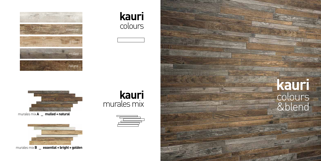## **kauri** colours &blend



murales mix**A \_ mulled + natural**



murales mix**B \_ essential + bright + golden**





**kauri** murales mix



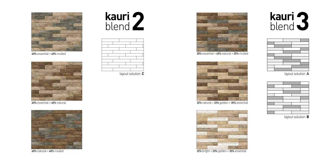

60% essential + 40% natural



 $60\%$  natural +  $40\%$  mulled







60% essential + 40% mulled

layout solution A



layout solution **B**



30% essential + 45% natural + 25% mulled



32% bright + 33% golden + 35% essential

# kauri 3<br>blend





32% natural + 33% golden + 35% essential

layout solution **C**